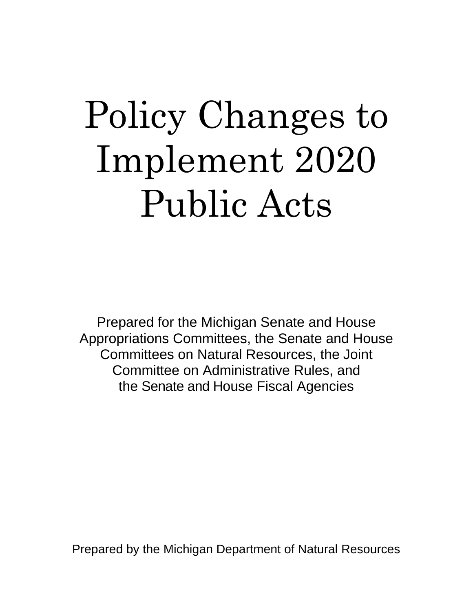## Policy Changes to Implement 2020 Public Acts

Prepared for the Michigan Senate and House Appropriations Committees, the Senate and House Committees on Natural Resources, the Joint Committee on Administrative Rules, and the Senate and House Fiscal Agencies

Prepared by the Michigan Department of Natural Resources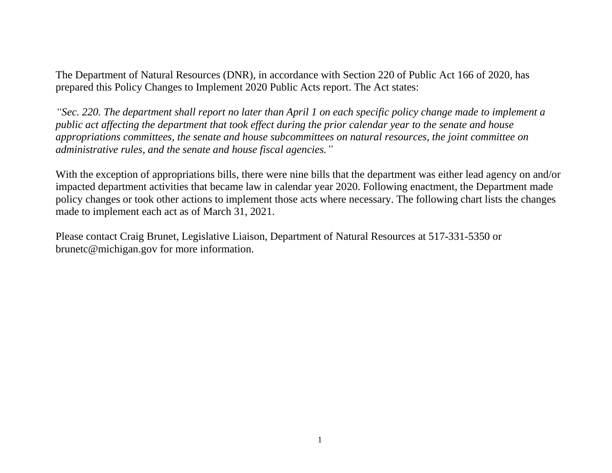The Department of Natural Resources (DNR), in accordance with Section 220 of Public Act 166 of 2020, has prepared this Policy Changes to Implement 2020 Public Acts report. The Act states:

*"Sec. 220. The department shall report no later than April 1 on each specific policy change made to implement a public act affecting the department that took effect during the prior calendar year to the senate and house appropriations committees, the senate and house subcommittees on natural resources, the joint committee on administrative rules, and the senate and house fiscal agencies."*

With the exception of appropriations bills, there were nine bills that the department was either lead agency on and/or impacted department activities that became law in calendar year 2020. Following enactment, the Department made policy changes or took other actions to implement those acts where necessary. The following chart lists the changes made to implement each act as of March 31, 2021.

Please contact Craig Brunet, Legislative Liaison, Department of Natural Resources at 517-331-5350 or brunetc@michigan.gov for more information.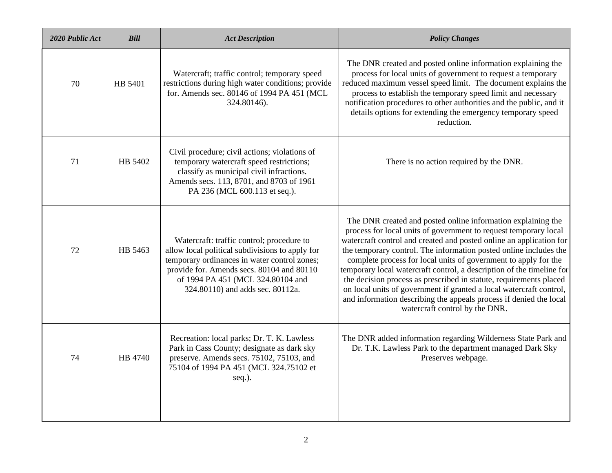| 2020 Public Act | <b>Bill</b> | <b>Act Description</b>                                                                                                                                                                                                                                             | <b>Policy Changes</b>                                                                                                                                                                                                                                                                                                                                                                                                                                                                                                                                                                                                                                                         |
|-----------------|-------------|--------------------------------------------------------------------------------------------------------------------------------------------------------------------------------------------------------------------------------------------------------------------|-------------------------------------------------------------------------------------------------------------------------------------------------------------------------------------------------------------------------------------------------------------------------------------------------------------------------------------------------------------------------------------------------------------------------------------------------------------------------------------------------------------------------------------------------------------------------------------------------------------------------------------------------------------------------------|
| 70              | HB 5401     | Watercraft; traffic control; temporary speed<br>restrictions during high water conditions; provide<br>for. Amends sec. 80146 of 1994 PA 451 (MCL<br>324.80146).                                                                                                    | The DNR created and posted online information explaining the<br>process for local units of government to request a temporary<br>reduced maximum vessel speed limit. The document explains the<br>process to establish the temporary speed limit and necessary<br>notification procedures to other authorities and the public, and it<br>details options for extending the emergency temporary speed<br>reduction.                                                                                                                                                                                                                                                             |
| 71              | HB 5402     | Civil procedure; civil actions; violations of<br>temporary watercraft speed restrictions;<br>classify as municipal civil infractions.<br>Amends secs. 113, 8701, and 8703 of 1961<br>PA 236 (MCL 600.113 et seq.).                                                 | There is no action required by the DNR.                                                                                                                                                                                                                                                                                                                                                                                                                                                                                                                                                                                                                                       |
| 72              | HB 5463     | Watercraft: traffic control; procedure to<br>allow local political subdivisions to apply for<br>temporary ordinances in water control zones;<br>provide for. Amends secs. 80104 and 80110<br>of 1994 PA 451 (MCL 324.80104 and<br>324.80110) and adds sec. 80112a. | The DNR created and posted online information explaining the<br>process for local units of government to request temporary local<br>watercraft control and created and posted online an application for<br>the temporary control. The information posted online includes the<br>complete process for local units of government to apply for the<br>temporary local watercraft control, a description of the timeline for<br>the decision process as prescribed in statute, requirements placed<br>on local units of government if granted a local watercraft control,<br>and information describing the appeals process if denied the local<br>watercraft control by the DNR. |
| 74              | HB 4740     | Recreation: local parks; Dr. T. K. Lawless<br>Park in Cass County; designate as dark sky<br>preserve. Amends secs. 75102, 75103, and<br>75104 of 1994 PA 451 (MCL 324.75102 et<br>seq.).                                                                           | The DNR added information regarding Wilderness State Park and<br>Dr. T.K. Lawless Park to the department managed Dark Sky<br>Preserves webpage.                                                                                                                                                                                                                                                                                                                                                                                                                                                                                                                               |